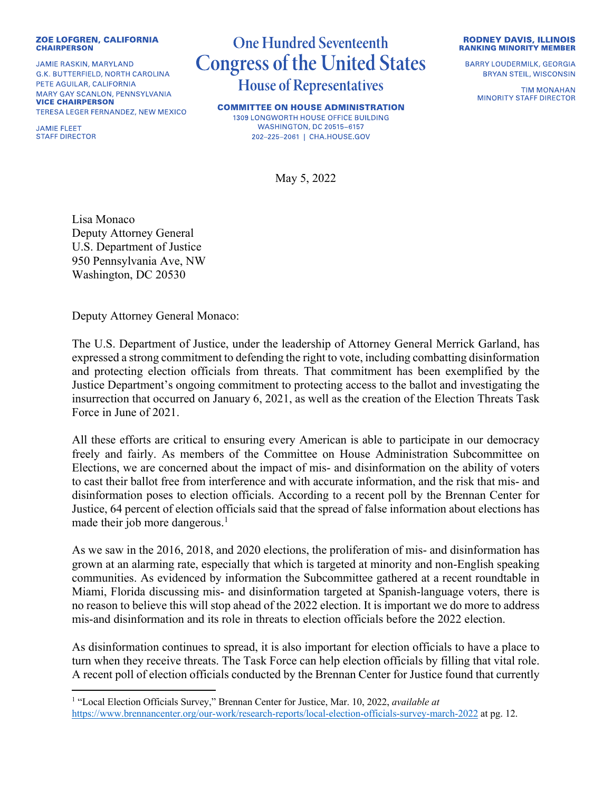## **ZOE LOFGREN, CALIFORNIA CHAIRPERSON**

**JAMIE RASKIN, MARYLAND** G.K. BUTTERFIELD, NORTH CAROLINA PETE AGUILAR, CALIFORNIA MARY GAY SCANLON, PENNSYLVANIA **VICE CHAIRPERSON** TERESA LEGER FERNANDEZ, NEW MEXICO

**JAMIE FLEET STAFF DIRECTOR** 

## **One Hundred Seventeenth Congress of the United States House of Representatives**

**COMMITTEE ON HOUSE ADMINISTRATION** 1309 LONGWORTH HOUSE OFFICE BUILDING **WASHINGTON, DC 20515-6157** 202-225-2061 | CHA.HOUSE.GOV

May 5, 2022

**RODNEY DAVIS, ILLINOIS RANKING MINORITY MEMBER** 

**BARRY LOUDERMILK, GEORGIA BRYAN STEIL, WISCONSIN** 

> **TIM MONAHAN MINORITY STAFF DIRECTOR**

Lisa Monaco Deputy Attorney General U.S. Department of Justice 950 Pennsylvania Ave, NW Washington, DC 20530

Deputy Attorney General Monaco:

The U.S. Department of Justice, under the leadership of Attorney General Merrick Garland, has expressed a strong commitment to defending the right to vote, including combatting disinformation and protecting election officials from threats. That commitment has been exemplified by the Justice Department's ongoing commitment to protecting access to the ballot and investigating the insurrection that occurred on January 6, 2021, as well as the creation of the Election Threats Task Force in June of 2021.

All these efforts are critical to ensuring every American is able to participate in our democracy freely and fairly. As members of the Committee on House Administration Subcommittee on Elections, we are concerned about the impact of mis- and disinformation on the ability of voters to cast their ballot free from interference and with accurate information, and the risk that mis- and disinformation poses to election officials. According to a recent poll by the Brennan Center for Justice, 64 percent of election officials said that the spread of false information about elections has made their job more dangerous.<sup>1</sup>

As we saw in the 2016, 2018, and 2020 elections, the proliferation of mis- and disinformation has grown at an alarming rate, especially that which is targeted at minority and non-English speaking communities. As evidenced by information the Subcommittee gathered at a recent roundtable in Miami, Florida discussing mis- and disinformation targeted at Spanish-language voters, there is no reason to believe this will stop ahead of the 2022 election. It is important we do more to address mis-and disinformation and its role in threats to election officials before the 2022 election.

As disinformation continues to spread, it is also important for election officials to have a place to turn when they receive threats. The Task Force can help election officials by filling that vital role. A recent poll of election officials conducted by the Brennan Center for Justice found that currently

<sup>1</sup> "Local Election Officials Survey," Brennan Center for Justice, Mar. 10, 2022, *available at* https://www.brennancenter.org/our-work/research-reports/local-election-officials-survey-march-2022 at pg. 12.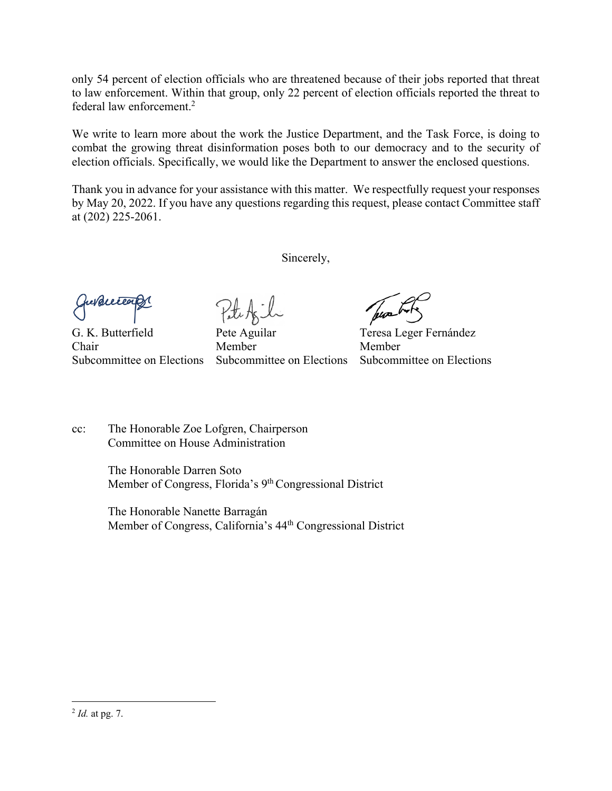only 54 percent of election officials who are threatened because of their jobs reported that threat to law enforcement. Within that group, only 22 percent of election officials reported the threat to federal law enforcement.2

We write to learn more about the work the Justice Department, and the Task Force, is doing to combat the growing threat disinformation poses both to our democracy and to the security of election officials. Specifically, we would like the Department to answer the enclosed questions.

Thank you in advance for your assistance with this matter. We respectfully request your responses by May 20, 2022. If you have any questions regarding this request, please contact Committee staff at (202) 225-2061.

Sincerely,

G. K. Butterfield Pete Aguilar Teresa Leger Fernández Chair Member Member Subcommittee on Elections Subcommittee on Elections Subcommittee on Elections

cc: The Honorable Zoe Lofgren, Chairperson Committee on House Administration

> The Honorable Darren Soto Member of Congress, Florida's 9<sup>th</sup> Congressional District

The Honorable Nanette Barragán Member of Congress, California's 44th Congressional District

<sup>2</sup> *Id.* at pg. 7.